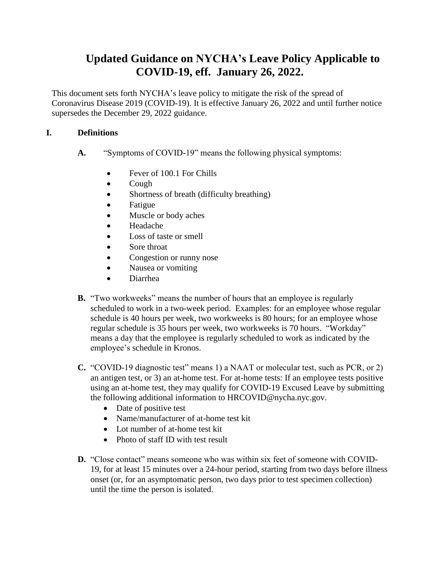# **Updated Guidance on NYCHA's Leave Policy Applicable to COVID-19, eff. January 26, 2022.**

This document sets forth NYCHA's leave policy to mitigate the risk of the spread of Coronavirus Disease 2019 (COVID-19). It is effective January 26, 2022 and until further notice supersedes the December 29, 2022 guidance.

# **I. Definitions**

- **A.** "Symptoms of COVID-19" means the following physical symptoms:
	- Fever of 100.1 For Chills
	- Cough
	- Shortness of breath (difficulty breathing)
	- Fatigue
	- Muscle or body aches
	- Headache
	- Loss of taste or smell
	- Sore throat
	- Congestion or runny nose
	- Nausea or vomiting
	- Diarrhea
- **B.** "Two workweeks" means the number of hours that an employee is regularly scheduled to work in a two-week period. Examples: for an employee whose regular schedule is 40 hours per week, two workweeks is 80 hours; for an employee whose regular schedule is 35 hours per week, two workweeks is 70 hours. "Workday" means a day that the employee is regularly scheduled to work as indicated by the employee's schedule in Kronos.
- **C.** "COVID-19 diagnostic test" means 1) a NAAT or molecular test, such as PCR, or 2) an antigen test, or 3) an at-home test. For at-home tests: If an employee tests positive using an at-home test, they may qualify for COVID-19 Excused Leave by submitting the following additional information to HRCOVID@nycha.nyc.gov.
	- Date of positive test
	- Name/manufacturer of at-home test kit
	- Lot number of at-home test kit
	- Photo of staff ID with test result
- **D.** "Close contact" means someone who was within six feet of someone with COVID-19, for at least 15 minutes over a 24-hour period, starting from two days before illness onset (or, for an asymptomatic person, two days prior to test specimen collection) until the time the person is isolated.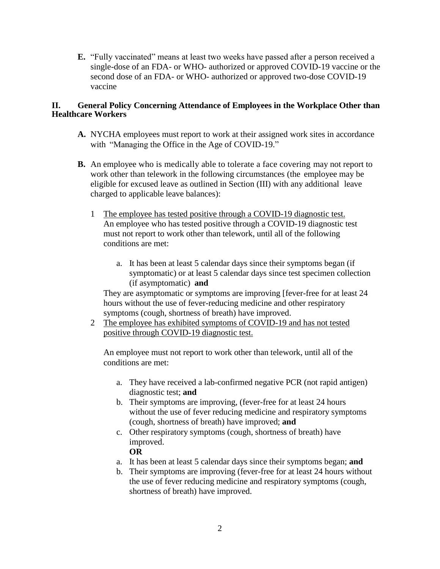**E.** "Fully vaccinated" means at least two weeks have passed after a person received a single-dose of an FDA- or WHO- authorized or approved COVID-19 vaccine or the second dose of an FDA- or WHO- authorized or approved two-dose COVID-19 vaccine

## **II. General Policy Concerning Attendance of Employees in the Workplace Other than Healthcare Workers**

- **A.** NYCHA employees must report to work at their assigned work sites in accordance with "Managing the Office in the Age of COVID-19."
- **B.** An employee who is medically able to tolerate a face covering may not report to work other than telework in the following circumstances (the employee may be eligible for excused leave as outlined in Section (III) with any additional leave charged to applicable leave balances):
	- 1 The employee has tested positive through a COVID-19 diagnostic test. An employee who has tested positive through a COVID-19 diagnostic test must not report to work other than telework, until all of the following conditions are met:
		- a. It has been at least 5 calendar days since their symptoms began (if symptomatic) or at least 5 calendar days since test specimen collection (if asymptomatic) **and**

They are asymptomatic or symptoms are improving [fever-free for at least 24 hours without the use of fever-reducing medicine and other respiratory symptoms (cough, shortness of breath) have improved.

2 The employee has exhibited symptoms of COVID-19 and has not tested positive through COVID-19 diagnostic test.

An employee must not report to work other than telework, until all of the conditions are met:

- a. They have received a lab-confirmed negative PCR (not rapid antigen) diagnostic test; **and**
- b. Their symptoms are improving, (fever-free for at least 24 hours without the use of fever reducing medicine and respiratory symptoms (cough, shortness of breath) have improved; **and**
- c. Other respiratory symptoms (cough, shortness of breath) have improved.
	- **OR**
- a. It has been at least 5 calendar days since their symptoms began; **and**
- b. Their symptoms are improving (fever-free for at least 24 hours without the use of fever reducing medicine and respiratory symptoms (cough, shortness of breath) have improved.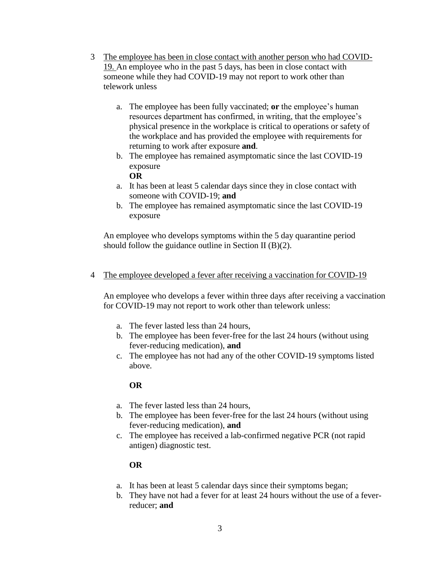- 3 The employee has been in close contact with another person who had COVID-19. An employee who in the past 5 days, has been in close contact with someone while they had COVID-19 may not report to work other than telework unless
	- a. The employee has been fully vaccinated; **or** the employee's human resources department has confirmed, in writing, that the employee's physical presence in the workplace is critical to operations or safety of the workplace and has provided the employee with requirements for returning to work after exposure **and**.
	- b. The employee has remained asymptomatic since the last COVID-19 exposure
		- **OR**
	- a. It has been at least 5 calendar days since they in close contact with someone with COVID-19; **and**
	- b. The employee has remained asymptomatic since the last COVID-19 exposure

An employee who develops symptoms within the 5 day quarantine period should follow the guidance outline in Section II (B)(2).

# 4 The employee developed a fever after receiving a vaccination for COVID-19

An employee who develops a fever within three days after receiving a vaccination for COVID-19 may not report to work other than telework unless:

- a. The fever lasted less than 24 hours,
- b. The employee has been fever-free for the last 24 hours (without using fever-reducing medication), **and**
- c. The employee has not had any of the other COVID-19 symptoms listed above.

# **OR**

- a. The fever lasted less than 24 hours,
- b. The employee has been fever-free for the last 24 hours (without using fever-reducing medication), **and**
- c. The employee has received a lab-confirmed negative PCR (not rapid antigen) diagnostic test.

## **OR**

- a. It has been at least 5 calendar days since their symptoms began;
- b. They have not had a fever for at least 24 hours without the use of a feverreducer; **and**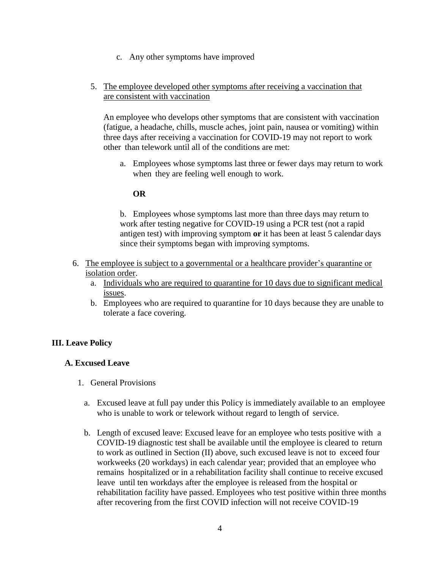c. Any other symptoms have improved

#### 5. The employee developed other symptoms after receiving a vaccination that are consistent with vaccination

An employee who develops other symptoms that are consistent with vaccination (fatigue, a headache, chills, muscle aches, joint pain, nausea or vomiting) within three days after receiving a vaccination for COVID-19 may not report to work other than telework until all of the conditions are met:

a. Employees whose symptoms last three or fewer days may return to work when they are feeling well enough to work.

#### **OR**

b. Employees whose symptoms last more than three days may return to work after testing negative for COVID-19 using a PCR test (not a rapid antigen test) with improving symptom **or** it has been at least 5 calendar days since their symptoms began with improving symptoms.

- 6. The employee is subject to a governmental or a healthcare provider's quarantine or isolation order.
	- a. Individuals who are required to quarantine for 10 days due to significant medical issues.
	- b. Employees who are required to quarantine for 10 days because they are unable to tolerate a face covering.

## **III. Leave Policy**

#### **A. Excused Leave**

- 1. General Provisions
	- a. Excused leave at full pay under this Policy is immediately available to an employee who is unable to work or telework without regard to length of service.
	- b. Length of excused leave: Excused leave for an employee who tests positive with a COVID-19 diagnostic test shall be available until the employee is cleared to return to work as outlined in Section (II) above, such excused leave is not to exceed four workweeks (20 workdays) in each calendar year; provided that an employee who remains hospitalized or in a rehabilitation facility shall continue to receive excused leave until ten workdays after the employee is released from the hospital or rehabilitation facility have passed. Employees who test positive within three months after recovering from the first COVID infection will not receive COVID-19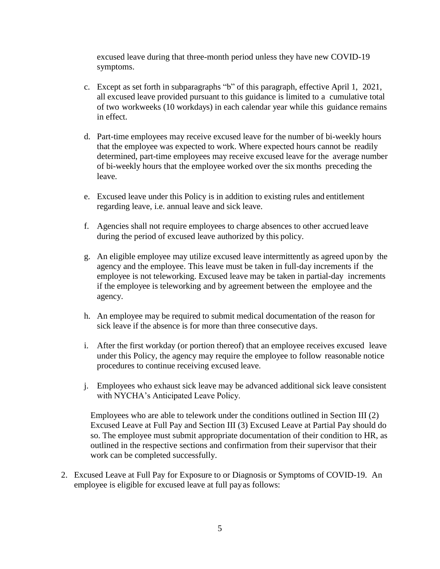excused leave during that three-month period unless they have new COVID-19 symptoms.

- c. Except as set forth in subparagraphs "b" of this paragraph, effective April 1, 2021, all excused leave provided pursuant to this guidance is limited to a cumulative total of two workweeks (10 workdays) in each calendar year while this guidance remains in effect.
- d. Part-time employees may receive excused leave for the number of bi-weekly hours that the employee was expected to work. Where expected hours cannot be readily determined, part-time employees may receive excused leave for the average number of bi-weekly hours that the employee worked over the six months preceding the leave.
- e. Excused leave under this Policy is in addition to existing rules and entitlement regarding leave, i.e. annual leave and sick leave.
- f. Agencies shall not require employees to charge absences to other accrued leave during the period of excused leave authorized by this policy.
- g. An eligible employee may utilize excused leave intermittently as agreed upon by the agency and the employee. This leave must be taken in full-day increments if the employee is not teleworking. Excused leave may be taken in partial-day increments if the employee is teleworking and by agreement between the employee and the agency.
- h. An employee may be required to submit medical documentation of the reason for sick leave if the absence is for more than three consecutive days.
- i. After the first workday (or portion thereof) that an employee receives excused leave under this Policy, the agency may require the employee to follow reasonable notice procedures to continue receiving excused leave.
- j. Employees who exhaust sick leave may be advanced additional sick leave consistent with NYCHA's Anticipated Leave Policy.

Employees who are able to telework under the conditions outlined in Section III (2) Excused Leave at Full Pay and Section III (3) Excused Leave at Partial Pay should do so. The employee must submit appropriate documentation of their condition to HR, as outlined in the respective sections and confirmation from their supervisor that their work can be completed successfully.

2. Excused Leave at Full Pay for Exposure to or Diagnosis or Symptoms of COVID-19. An employee is eligible for excused leave at full payas follows: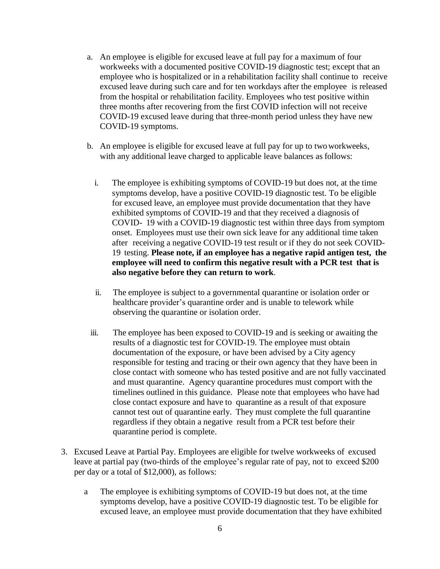- a. An employee is eligible for excused leave at full pay for a maximum of four workweeks with a documented positive COVID-19 diagnostic test; except that an employee who is hospitalized or in a rehabilitation facility shall continue to receive excused leave during such care and for ten workdays after the employee is released from the hospital or rehabilitation facility. Employees who test positive within three months after recovering from the first COVID infection will not receive COVID-19 excused leave during that three-month period unless they have new COVID-19 symptoms.
- b. An employee is eligible for excused leave at full pay for up to twoworkweeks, with any additional leave charged to applicable leave balances as follows:
	- i. The employee is exhibiting symptoms of COVID-19 but does not, at the time symptoms develop, have a positive COVID-19 diagnostic test. To be eligible for excused leave, an employee must provide documentation that they have exhibited symptoms of COVID-19 and that they received a diagnosis of COVID- 19 with a COVID-19 diagnostic test within three days from symptom onset. Employees must use their own sick leave for any additional time taken after receiving a negative COVID-19 test result or if they do not seek COVID-19 testing. **Please note, if an employee has a negative rapid antigen test, the employee will need to confirm this negative result with a PCR test that is also negative before they can return to work**.
	- ii. The employee is subject to a governmental quarantine or isolation order or healthcare provider's quarantine order and is unable to telework while observing the quarantine or isolation order.
- iii. The employee has been exposed to COVID-19 and is seeking or awaiting the results of a diagnostic test for COVID-19. The employee must obtain documentation of the exposure, or have been advised by a City agency responsible for testing and tracing or their own agency that they have been in close contact with someone who has tested positive and are not fully vaccinated and must quarantine. Agency quarantine procedures must comport with the timelines outlined in this guidance. Please note that employees who have had close contact exposure and have to quarantine as a result of that exposure cannot test out of quarantine early. They must complete the full quarantine regardless if they obtain a negative result from a PCR test before their quarantine period is complete.
- 3. Excused Leave at Partial Pay. Employees are eligible for twelve workweeks of excused leave at partial pay (two-thirds of the employee's regular rate of pay, not to exceed \$200 per day or a total of \$12,000), as follows:
	- a The employee is exhibiting symptoms of COVID-19 but does not, at the time symptoms develop, have a positive COVID-19 diagnostic test. To be eligible for excused leave, an employee must provide documentation that they have exhibited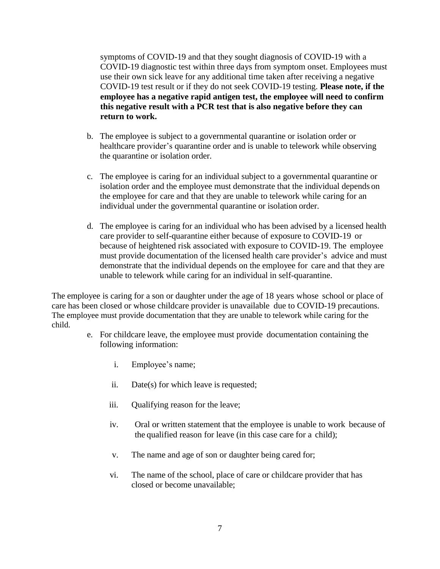symptoms of COVID-19 and that they sought diagnosis of COVID-19 with a COVID-19 diagnostic test within three days from symptom onset. Employees must use their own sick leave for any additional time taken after receiving a negative COVID-19 test result or if they do not seek COVID-19 testing. **Please note, if the employee has a negative rapid antigen test, the employee will need to confirm this negative result with a PCR test that is also negative before they can return to work.** 

- b. The employee is subject to a governmental quarantine or isolation order or healthcare provider's quarantine order and is unable to telework while observing the quarantine or isolation order.
- c. The employee is caring for an individual subject to a governmental quarantine or isolation order and the employee must demonstrate that the individual depends on the employee for care and that they are unable to telework while caring for an individual under the governmental quarantine or isolation order.
- d. The employee is caring for an individual who has been advised by a licensed health care provider to self-quarantine either because of exposure to COVID-19 or because of heightened risk associated with exposure to COVID-19. The employee must provide documentation of the licensed health care provider's advice and must demonstrate that the individual depends on the employee for care and that they are unable to telework while caring for an individual in self-quarantine.

The employee is caring for a son or daughter under the age of 18 years whose school or place of care has been closed or whose childcare provider is unavailable due to COVID-19 precautions. The employee must provide documentation that they are unable to telework while caring for the child.

- e. For childcare leave, the employee must provide documentation containing the following information:
	- i. Employee's name;
	- ii. Date(s) for which leave is requested;
	- iii. Qualifying reason for the leave;
	- iv. Oral or written statement that the employee is unable to work because of the qualified reason for leave (in this case care for a child);
	- v. The name and age of son or daughter being cared for;
	- vi. The name of the school, place of care or childcare provider that has closed or become unavailable;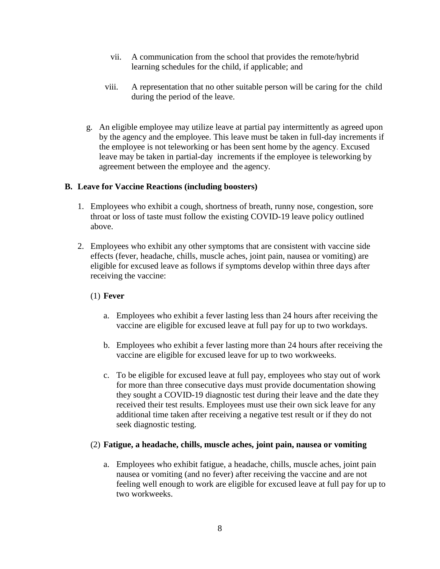- vii. A communication from the school that provides the remote/hybrid learning schedules for the child, if applicable; and
- viii. A representation that no other suitable person will be caring for the child during the period of the leave.
- g. An eligible employee may utilize leave at partial pay intermittently as agreed upon by the agency and the employee. This leave must be taken in full-day increments if the employee is not teleworking or has been sent home by the agency. Excused leave may be taken in partial-day increments if the employee is teleworking by agreement between the employee and the agency.

#### **B. Leave for Vaccine Reactions (including boosters)**

- 1. Employees who exhibit a cough, shortness of breath, runny nose, congestion, sore throat or loss of taste must follow the existing COVID-19 leave policy outlined above.
- 2. Employees who exhibit any other symptoms that are consistent with vaccine side effects (fever, headache, chills, muscle aches, joint pain, nausea or vomiting) are eligible for excused leave as follows if symptoms develop within three days after receiving the vaccine:

## (1) **Fever**

- a. Employees who exhibit a fever lasting less than 24 hours after receiving the vaccine are eligible for excused leave at full pay for up to two workdays.
- b. Employees who exhibit a fever lasting more than 24 hours after receiving the vaccine are eligible for excused leave for up to two workweeks.
- c. To be eligible for excused leave at full pay, employees who stay out of work for more than three consecutive days must provide documentation showing they sought a COVID-19 diagnostic test during their leave and the date they received their test results. Employees must use their own sick leave for any additional time taken after receiving a negative test result or if they do not seek diagnostic testing.

#### (2) **Fatigue, a headache, chills, muscle aches, joint pain, nausea or vomiting**

a. Employees who exhibit fatigue, a headache, chills, muscle aches, joint pain nausea or vomiting (and no fever) after receiving the vaccine and are not feeling well enough to work are eligible for excused leave at full pay for up to two workweeks.